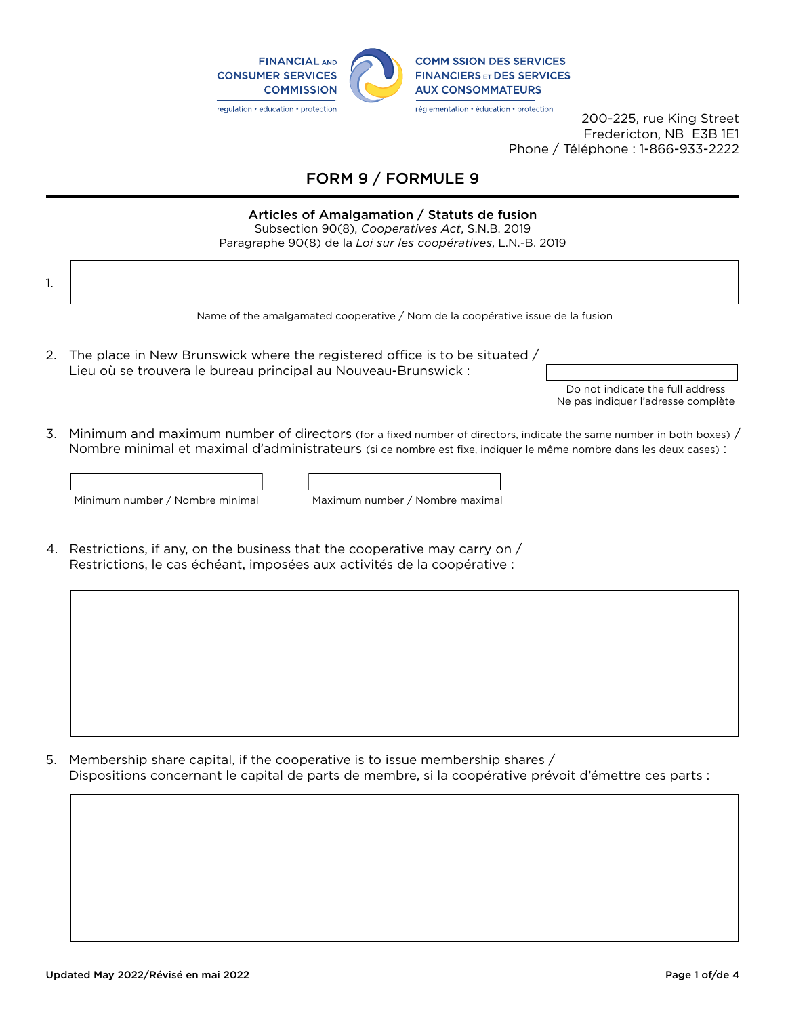

200-225, rue King Street Fredericton, NB E3B 1E1 Phone / Téléphone : 1-866-933-2222

## FORM 9 / FORMULE 9

## Articles of Amalgamation / Statuts de fusion

Subsection 90(8), *Cooperatives Act*, S.N.B. 2019 Paragraphe 90(8) de la *Loi sur les coopératives*, L.N.-B. 2019

| 1. |                                                                                                                                                                                                                                                                                                                 |  |  |  |
|----|-----------------------------------------------------------------------------------------------------------------------------------------------------------------------------------------------------------------------------------------------------------------------------------------------------------------|--|--|--|
|    | Name of the amalgamated cooperative / Nom de la coopérative issue de la fusion                                                                                                                                                                                                                                  |  |  |  |
| 2. | The place in New Brunswick where the registered office is to be situated /<br>Lieu où se trouvera le bureau principal au Nouveau-Brunswick :<br>Do not indicate the full address<br>Ne pas indiquer l'adresse complète                                                                                          |  |  |  |
| 3. | Minimum and maximum number of directors (for a fixed number of directors, indicate the same number in both boxes) /<br>Nombre minimal et maximal d'administrateurs (si ce nombre est fixe, indiquer le même nombre dans les deux cases) :<br>Minimum number / Nombre minimal<br>Maximum number / Nombre maximal |  |  |  |
|    | 4. Restrictions, if any, on the business that the cooperative may carry on /<br>Restrictions, le cas échéant, imposées aux activités de la coopérative :                                                                                                                                                        |  |  |  |

5. Membership share capital, if the cooperative is to issue membership shares / Dispositions concernant le capital de parts de membre, si la coopérative prévoit d'émettre ces parts :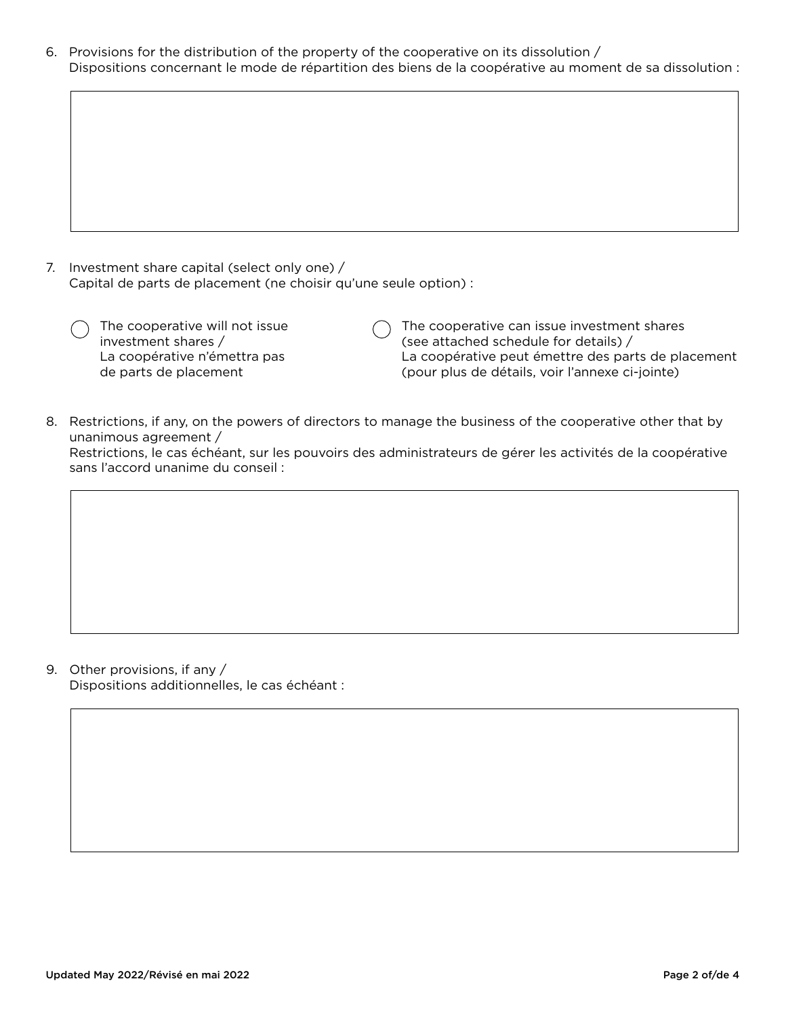6. Provisions for the distribution of the property of the cooperative on its dissolution / Dispositions concernant le mode de répartition des biens de la coopérative au moment de sa dissolution :

| 7. Investment share capital (select only one) /                  |
|------------------------------------------------------------------|
| Capital de parts de placement (ne choisir qu'une seule option) : |

| The cooperative will not issue |
|--------------------------------|
| investment shares /            |
| La coopérative n'émettra pas   |
| de parts de placement          |

 $\bigcap$  The cooperative can issue investment shares (see attached schedule for details) / La coopérative peut émettre des parts de placement (pour plus de détails, voir l'annexe ci-jointe)

8. Restrictions, if any, on the powers of directors to manage the business of the cooperative other that by unanimous agreement /

Restrictions, le cas échéant, sur les pouvoirs des administrateurs de gérer les activités de la coopérative sans l'accord unanime du conseil :

9. Other provisions, if any / Dispositions additionnelles, le cas échéant :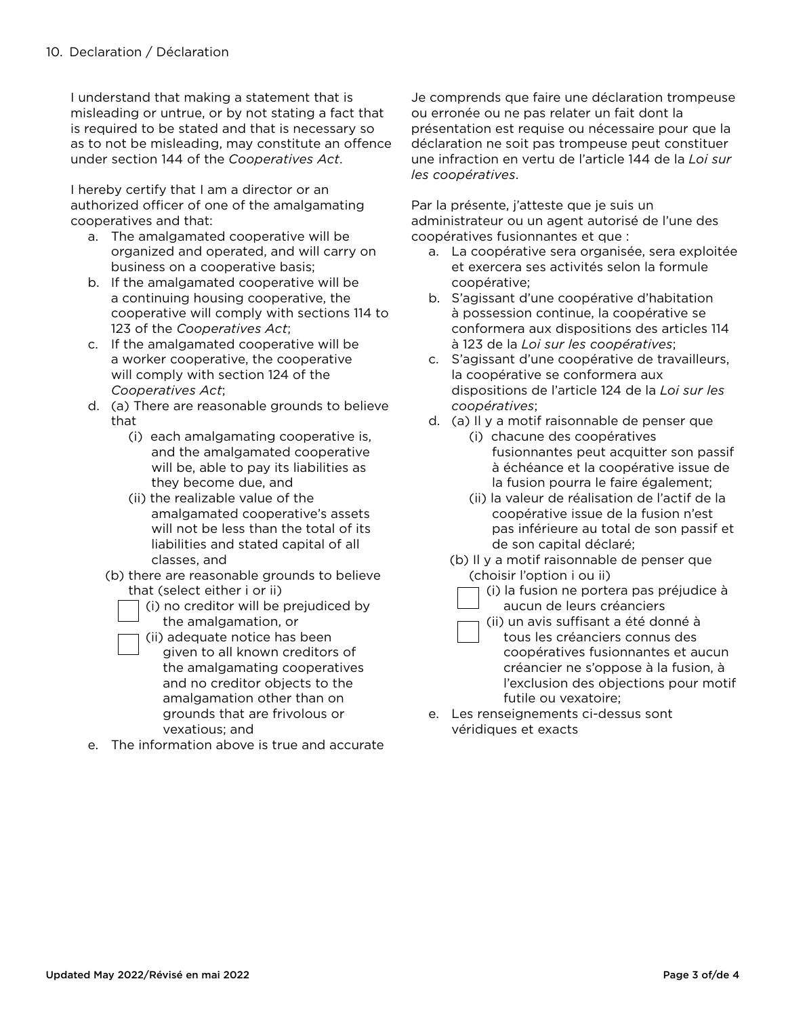I understand that making a statement that is misleading or untrue, or by not stating a fact that is required to be stated and that is necessary so as to not be misleading, may constitute an offence under section 144 of the *Cooperatives Act*.

I hereby certify that I am a director or an authorized officer of one of the amalgamating cooperatives and that:

- a. The amalgamated cooperative will be organized and operated, and will carry on business on a cooperative basis;
- b. If the amalgamated cooperative will be a continuing housing cooperative, the cooperative will comply with sections 114 to 123 of the *Cooperatives Act*;
- c. If the amalgamated cooperative will be a worker cooperative, the cooperative will comply with section 124 of the *Cooperatives Act*;
- d. (a) There are reasonable grounds to believe that
	- (i) each amalgamating cooperative is, and the amalgamated cooperative will be, able to pay its liabilities as they become due, and
	- (ii) the realizable value of the amalgamated cooperative's assets will not be less than the total of its liabilities and stated capital of all classes, and
	- (b) there are reasonable grounds to believe that (select either i or ii)
		- (i) no creditor will be prejudiced by the amalgamation, or

(ii) adequate notice has been

- given to all known creditors of the amalgamating cooperatives and no creditor objects to the amalgamation other than on grounds that are frivolous or vexatious; and
- e. The information above is true and accurate

Je comprends que faire une déclaration trompeuse ou erronée ou ne pas relater un fait dont la présentation est requise ou nécessaire pour que la déclaration ne soit pas trompeuse peut constituer une infraction en vertu de l'article 144 de la *Loi sur les coopératives*.

Par la présente, j'atteste que je suis un administrateur ou un agent autorisé de l'une des coopératives fusionnantes et que :

- a. La coopérative sera organisée, sera exploitée et exercera ses activités selon la formule coopérative;
- b. S'agissant d'une coopérative d'habitation à possession continue, la coopérative se conformera aux dispositions des articles 114 à 123 de la *Loi sur les coopératives*;
- c. S'agissant d'une coopérative de travailleurs, la coopérative se conformera aux dispositions de l'article 124 de la *Loi sur les coopératives*;
- d. (a) Il y a motif raisonnable de penser que
	- (i) chacune des coopératives fusionnantes peut acquitter son passif à échéance et la coopérative issue de la fusion pourra le faire également;
	- (ii) la valeur de réalisation de l'actif de la coopérative issue de la fusion n'est pas inférieure au total de son passif et de son capital déclaré;
	- (b) Il y a motif raisonnable de penser que (choisir l'option i ou ii)
		- (i) la fusion ne portera pas préjudice à aucun de leurs créanciers
		- (ii) un avis suffisant a été donné à tous les créanciers connus des coopératives fusionnantes et aucun créancier ne s'oppose à la fusion, à l'exclusion des objections pour motif futile ou vexatoire;
- e. Les renseignements ci-dessus sont véridiques et exacts